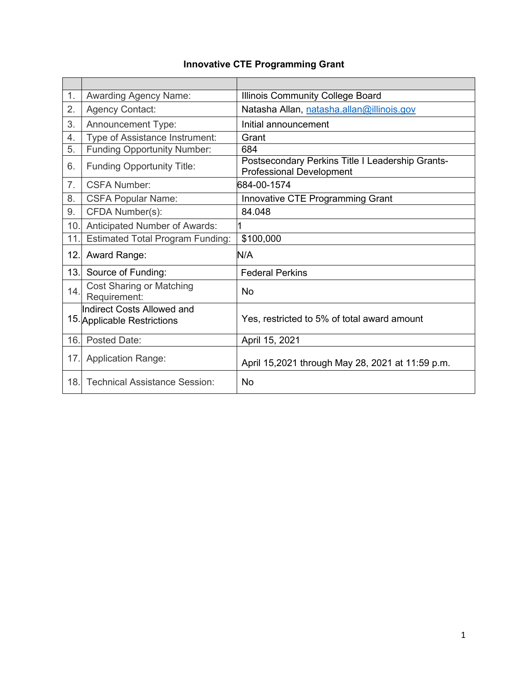# **Innovative CTE Programming Grant**

| 1.             | <b>Awarding Agency Name:</b>                                                  | Illinois Community College Board                                                    |  |
|----------------|-------------------------------------------------------------------------------|-------------------------------------------------------------------------------------|--|
| 2.             | <b>Agency Contact:</b>                                                        | Natasha Allan, natasha.allan@illinois.gov                                           |  |
| 3.             | <b>Announcement Type:</b>                                                     | Initial announcement                                                                |  |
| 4.             | Type of Assistance Instrument:                                                | Grant                                                                               |  |
| 5.             | <b>Funding Opportunity Number:</b>                                            | 684                                                                                 |  |
| 6.             | <b>Funding Opportunity Title:</b>                                             | Postsecondary Perkins Title I Leadership Grants-<br><b>Professional Development</b> |  |
| 7 <sub>1</sub> | <b>CSFA Number:</b>                                                           | 684-00-1574                                                                         |  |
| 8.             | <b>CSFA Popular Name:</b>                                                     | Innovative CTE Programming Grant                                                    |  |
| 9.             | CFDA Number(s):                                                               | 84.048                                                                              |  |
| 10.            | Anticipated Number of Awards:                                                 |                                                                                     |  |
| 11.            | <b>Estimated Total Program Funding:</b>                                       | \$100,000                                                                           |  |
| 12.            | Award Range:                                                                  | N/A                                                                                 |  |
| 13.1           | Source of Funding:                                                            | <b>Federal Perkins</b>                                                              |  |
| 14.            | <b>Cost Sharing or Matching</b><br>Requirement:                               | No                                                                                  |  |
|                | <b>Indirect Costs Allowed and</b><br>15. Applicable Restrictions              | Yes, restricted to 5% of total award amount                                         |  |
| 16.            | Posted Date:                                                                  | April 15, 2021                                                                      |  |
| 17.            | <b>Application Range:</b><br>April 15,2021 through May 28, 2021 at 11:59 p.m. |                                                                                     |  |
| 18.            | <b>Technical Assistance Session:</b>                                          | No                                                                                  |  |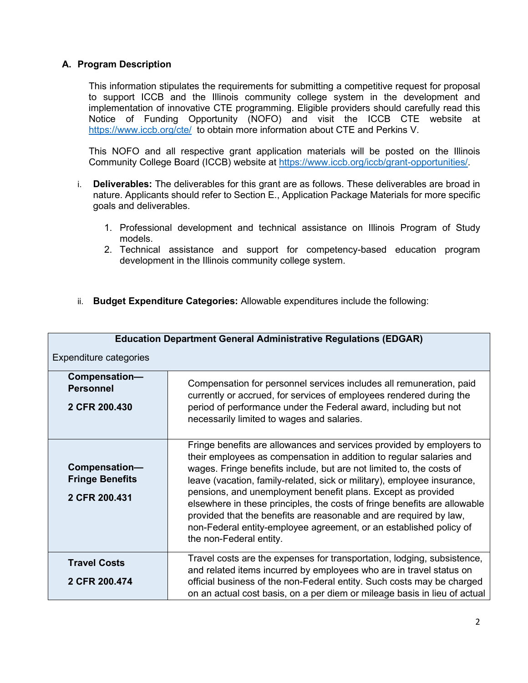# **A. Program Description**

This information stipulates the requirements for submitting a competitive request for proposal to support ICCB and the Illinois community college system in the development and implementation of innovative CTE programming. Eligible providers should carefully read this Notice of Funding Opportunity (NOFO) and visit the ICCB CTE website at <https://www.iccb.org/cte/> to obtain more information about CTE and Perkins V.

This NOFO and all respective grant application materials will be posted on the Illinois Community College Board (ICCB) website at [https://www.iccb.org/iccb/grant-opportunities/.](https://www.iccb.org/iccb/grant-opportunities/)

- i. **Deliverables:** The deliverables for this grant are as follows. These deliverables are broad in nature. Applicants should refer to Section E., Application Package Materials for more specific goals and deliverables.
	- 1. Professional development and technical assistance on Illinois Program of Study models.
	- 2. Technical assistance and support for competency-based education program development in the Illinois community college system.
- ii. **Budget Expenditure Categories:** Allowable expenditures include the following:

| <b>Education Department General Administrative Regulations (EDGAR)</b> |                                                                                                                                                                                                                                                                                                                                                                                                                                                                                                                                                                                                                    |  |  |  |  |
|------------------------------------------------------------------------|--------------------------------------------------------------------------------------------------------------------------------------------------------------------------------------------------------------------------------------------------------------------------------------------------------------------------------------------------------------------------------------------------------------------------------------------------------------------------------------------------------------------------------------------------------------------------------------------------------------------|--|--|--|--|
| <b>Expenditure categories</b>                                          |                                                                                                                                                                                                                                                                                                                                                                                                                                                                                                                                                                                                                    |  |  |  |  |
| Compensation-<br><b>Personnel</b><br>2 CFR 200.430                     | Compensation for personnel services includes all remuneration, paid<br>currently or accrued, for services of employees rendered during the<br>period of performance under the Federal award, including but not<br>necessarily limited to wages and salaries.                                                                                                                                                                                                                                                                                                                                                       |  |  |  |  |
| Compensation-<br><b>Fringe Benefits</b><br>2 CFR 200.431               | Fringe benefits are allowances and services provided by employers to<br>their employees as compensation in addition to regular salaries and<br>wages. Fringe benefits include, but are not limited to, the costs of<br>leave (vacation, family-related, sick or military), employee insurance,<br>pensions, and unemployment benefit plans. Except as provided<br>elsewhere in these principles, the costs of fringe benefits are allowable<br>provided that the benefits are reasonable and are required by law,<br>non-Federal entity-employee agreement, or an established policy of<br>the non-Federal entity. |  |  |  |  |
| <b>Travel Costs</b><br>2 CFR 200.474                                   | Travel costs are the expenses for transportation, lodging, subsistence,<br>and related items incurred by employees who are in travel status on<br>official business of the non-Federal entity. Such costs may be charged<br>on an actual cost basis, on a per diem or mileage basis in lieu of actual                                                                                                                                                                                                                                                                                                              |  |  |  |  |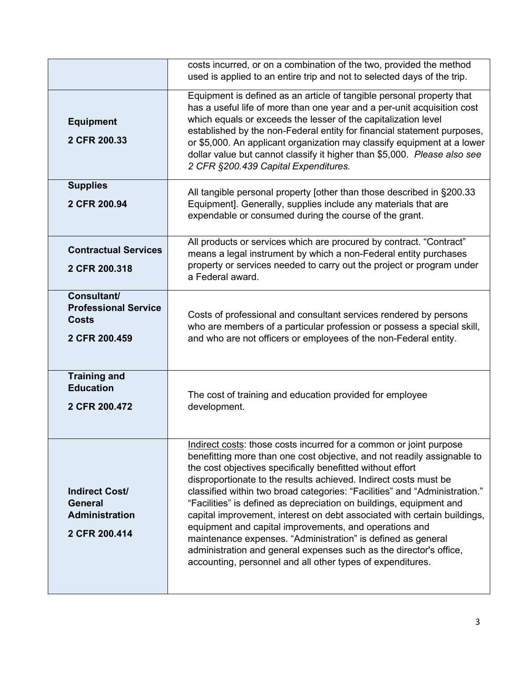|                                                                                   | costs incurred, or on a combination of the two, provided the method<br>used is applied to an entire trip and not to selected days of the trip.                                                                                                                                                                                                                                                                                                                                                                                                                                                                                                                                                                                                                                 |  |
|-----------------------------------------------------------------------------------|--------------------------------------------------------------------------------------------------------------------------------------------------------------------------------------------------------------------------------------------------------------------------------------------------------------------------------------------------------------------------------------------------------------------------------------------------------------------------------------------------------------------------------------------------------------------------------------------------------------------------------------------------------------------------------------------------------------------------------------------------------------------------------|--|
| <b>Equipment</b><br>2 CFR 200.33                                                  | Equipment is defined as an article of tangible personal property that<br>has a useful life of more than one year and a per-unit acquisition cost<br>which equals or exceeds the lesser of the capitalization level<br>established by the non-Federal entity for financial statement purposes,<br>or \$5,000. An applicant organization may classify equipment at a lower<br>dollar value but cannot classify it higher than \$5,000. Please also see<br>2 CFR §200.439 Capital Expenditures.                                                                                                                                                                                                                                                                                   |  |
| <b>Supplies</b><br>2 CFR 200.94                                                   | All tangible personal property [other than those described in §200.33<br>Equipment]. Generally, supplies include any materials that are<br>expendable or consumed during the course of the grant.                                                                                                                                                                                                                                                                                                                                                                                                                                                                                                                                                                              |  |
| <b>Contractual Services</b><br>2 CFR 200.318                                      | All products or services which are procured by contract. "Contract"<br>means a legal instrument by which a non-Federal entity purchases<br>property or services needed to carry out the project or program under<br>a Federal award.                                                                                                                                                                                                                                                                                                                                                                                                                                                                                                                                           |  |
| Consultant/<br><b>Professional Service</b><br><b>Costs</b><br>2 CFR 200.459       | Costs of professional and consultant services rendered by persons<br>who are members of a particular profession or possess a special skill,<br>and who are not officers or employees of the non-Federal entity.                                                                                                                                                                                                                                                                                                                                                                                                                                                                                                                                                                |  |
| <b>Training and</b><br><b>Education</b><br>2 CFR 200.472                          | The cost of training and education provided for employee<br>development.                                                                                                                                                                                                                                                                                                                                                                                                                                                                                                                                                                                                                                                                                                       |  |
| <b>Indirect Cost/</b><br><b>General</b><br><b>Administration</b><br>2 CFR 200.414 | Indirect costs: those costs incurred for a common or joint purpose<br>benefitting more than one cost objective, and not readily assignable to<br>the cost objectives specifically benefitted without effort<br>disproportionate to the results achieved. Indirect costs must be<br>classified within two broad categories: "Facilities" and "Administration."<br>"Facilities" is defined as depreciation on buildings, equipment and<br>capital improvement, interest on debt associated with certain buildings,<br>equipment and capital improvements, and operations and<br>maintenance expenses. "Administration" is defined as general<br>administration and general expenses such as the director's office,<br>accounting, personnel and all other types of expenditures. |  |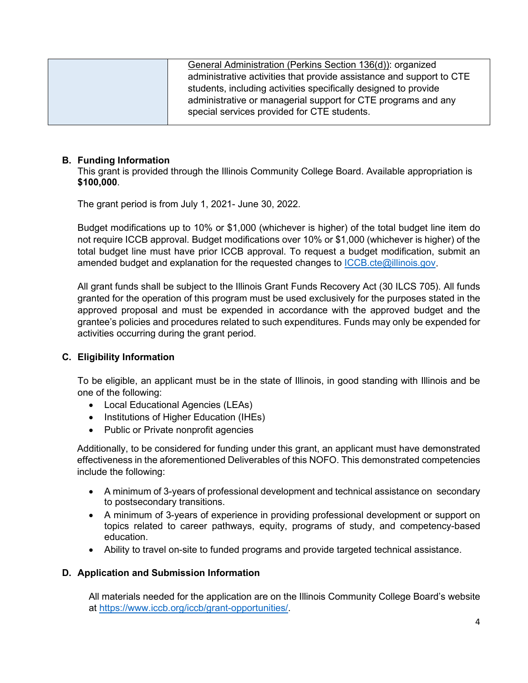| General Administration (Perkins Section 136(d)): organized           |  |
|----------------------------------------------------------------------|--|
|                                                                      |  |
| administrative activities that provide assistance and support to CTE |  |
| students, including activities specifically designed to provide      |  |
| administrative or managerial support for CTE programs and any        |  |
| special services provided for CTE students.                          |  |
|                                                                      |  |

## **B. Funding Information**

This grant is provided through the Illinois Community College Board. Available appropriation is **\$100,000**.

The grant period is from July 1, 2021- June 30, 2022.

Budget modifications up to 10% or \$1,000 (whichever is higher) of the total budget line item do not require ICCB approval. Budget modifications over 10% or \$1,000 (whichever is higher) of the total budget line must have prior ICCB approval. To request a budget modification, submit an amended budget and explanation for the requested changes to [ICCB.cte@illinois.gov.](mailto:ICCB.cte@illinois.gov)

All grant funds shall be subject to the Illinois Grant Funds Recovery Act (30 ILCS 705). All funds granted for the operation of this program must be used exclusively for the purposes stated in the approved proposal and must be expended in accordance with the approved budget and the grantee's policies and procedures related to such expenditures. Funds may only be expended for activities occurring during the grant period.

### **C. Eligibility Information**

To be eligible, an applicant must be in the state of Illinois, in good standing with Illinois and be one of the following:

- Local Educational Agencies (LEAs)
- Institutions of Higher Education (IHEs)
- Public or Private nonprofit agencies

Additionally, to be considered for funding under this grant, an applicant must have demonstrated effectiveness in the aforementioned Deliverables of this NOFO. This demonstrated competencies include the following:

- A minimum of 3-years of professional development and technical assistance on secondary to postsecondary transitions.
- A minimum of 3-years of experience in providing professional development or support on topics related to career pathways, equity, programs of study, and competency-based education.
- Ability to travel on-site to funded programs and provide targeted technical assistance.

### **D. Application and Submission Information**

All materials needed for the application are on the Illinois Community College Board's website at [https://www.iccb.org/iccb/grant-opportunities/.](https://www.iccb.org/iccb/grant-opportunities/)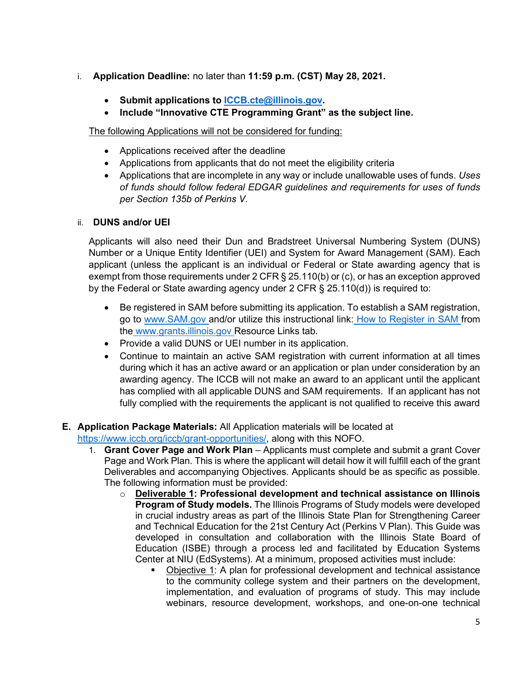- i. **Application Deadline:** no later than **11:59 p.m. (CST) May 28, 2021.**
	- **Submit applications to [ICCB.cte@illinois.gov.](mailto:ICCB.cte@illinois.gov)**
	- **Include "Innovative CTE Programming Grant" as the subject line.**

The following Applications will not be considered for funding:

- Applications received after the deadline
- Applications from applicants that do not meet the eligibility criteria
- Applications that are incomplete in any way or include unallowable uses of funds. *Uses of funds should follow federal EDGAR guidelines and requirements for uses of funds per Section 135b of Perkins V.*

# ii. **DUNS and/or UEI**

Applicants will also need their Dun and Bradstreet Universal Numbering System (DUNS) Number or a Unique Entity Identifier (UEI) and System for Award Management (SAM). Each applicant (unless the applicant is an individual or Federal or State awarding agency that is exempt from those requirements under 2 CFR § 25.110(b) or (c), or has an exception approved by the Federal or State awarding agency under 2 CFR § 25.110(d)) is required to:

- Be registered in SAM before submitting its application. To establish a SAM registration, go to [www.SAM.gov a](http://www.sam.gov/)nd/or utilize this instructional link: [How to](https://www.illinois.gov/sites/GATA/Documents/How%20to%20Register%20in%20SAMS.pdf) [Register in SAM f](https://www.illinois.gov/sites/GATA/Documents/How%20to%20Register%20in%20SAMS.pdf)rom the [www.grants.illinois.gov R](http://www.grants.illinois.gov/)esource Links tab.
- Provide a valid DUNS or UEI number in its application.
- Continue to maintain an active SAM registration with current information at all times during which it has an active award or an application or plan under consideration by an awarding agency. The ICCB will not make an award to an applicant until the applicant has complied with all applicable DUNS and SAM requirements. If an applicant has not fully complied with the requirements the applicant is not qualified to receive this award

# **E. Application Package Materials:** All Application materials will be located at

- [https://www.iccb.org/iccb/grant-opportunities/,](https://www.iccb.org/iccb/grant-opportunities/) along with this NOFO.
	- 1. **Grant Cover Page and Work Plan**  Applicants must complete and submit a grant Cover Page and Work Plan. This is where the applicant will detail how it will fulfill each of the grant Deliverables and accompanying Objectives. Applicants should be as specific as possible. The following information must be provided:
		- o **Deliverable 1: Professional development and technical assistance on Illinois Program of Study models.** The Illinois Programs of Study models were developed in crucial industry areas as part of the Illinois State Plan for Strengthening Career and Technical Education for the 21st Century Act (Perkins V Plan). This Guide was developed in consultation and collaboration with the Illinois State Board of Education (ISBE) through a process led and facilitated by Education Systems Center at NIU (EdSystems). At a minimum, proposed activities must include:
			- Objective 1: A plan for professional development and technical assistance to the community college system and their partners on the development, implementation, and evaluation of programs of study. This may include webinars, resource development, workshops, and one-on-one technical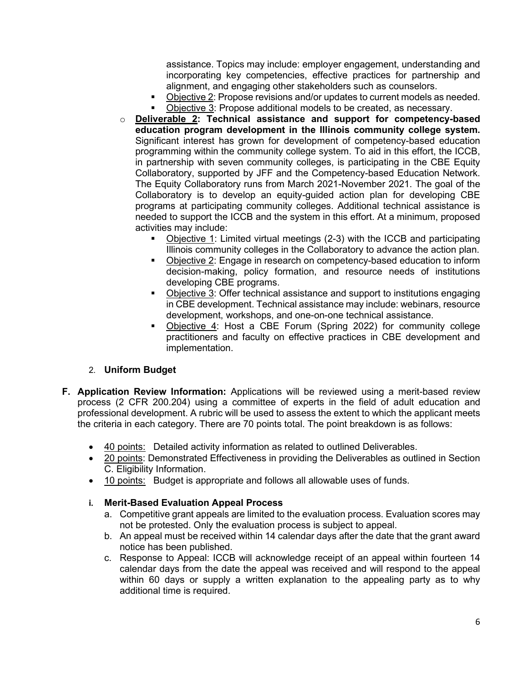assistance. Topics may include: employer engagement, understanding and incorporating key competencies, effective practices for partnership and alignment, and engaging other stakeholders such as counselors.

- Objective 2: Propose revisions and/or updates to current models as needed.
- Objective 3: Propose additional models to be created, as necessary.
- o **Deliverable 2: Technical assistance and support for competency-based education program development in the Illinois community college system.** Significant interest has grown for development of competency-based education programming within the community college system. To aid in this effort, the ICCB, in partnership with seven community colleges, is participating in the CBE Equity Collaboratory, supported by JFF and the Competency-based Education Network. The Equity Collaboratory runs from March 2021-November 2021. The goal of the Collaboratory is to develop an equity-guided action plan for developing CBE programs at participating community colleges. Additional technical assistance is needed to support the ICCB and the system in this effort. At a minimum, proposed activities may include:
	- Objective 1: Limited virtual meetings (2-3) with the ICCB and participating Illinois community colleges in the Collaboratory to advance the action plan.
	- Objective 2: Engage in research on competency-based education to inform decision-making, policy formation, and resource needs of institutions developing CBE programs.
	- Objective 3: Offer technical assistance and support to institutions engaging in CBE development. Technical assistance may include: webinars, resource development, workshops, and one-on-one technical assistance.
	- Objective 4: Host a CBE Forum (Spring 2022) for community college practitioners and faculty on effective practices in CBE development and implementation.

### 2. **Uniform Budget**

- **F. Application Review Information:** Applications will be reviewed using a merit-based review process (2 CFR 200.204) using a committee of experts in the field of adult education and professional development. A rubric will be used to assess the extent to which the applicant meets the criteria in each category. There are 70 points total. The point breakdown is as follows:
	- 40 points: Detailed activity information as related to outlined Deliverables.
	- 20 points: Demonstrated Effectiveness in providing the Deliverables as outlined in Section C. Eligibility Information.
	- 10 points: Budget is appropriate and follows all allowable uses of funds.

### **i. Merit-Based Evaluation Appeal Process**

- a. Competitive grant appeals are limited to the evaluation process. Evaluation scores may not be protested. Only the evaluation process is subject to appeal.
- b. An appeal must be received within 14 calendar days after the date that the grant award notice has been published.
- c. Response to Appeal: ICCB will acknowledge receipt of an appeal within fourteen 14 calendar days from the date the appeal was received and will respond to the appeal within 60 days or supply a written explanation to the appealing party as to why additional time is required.